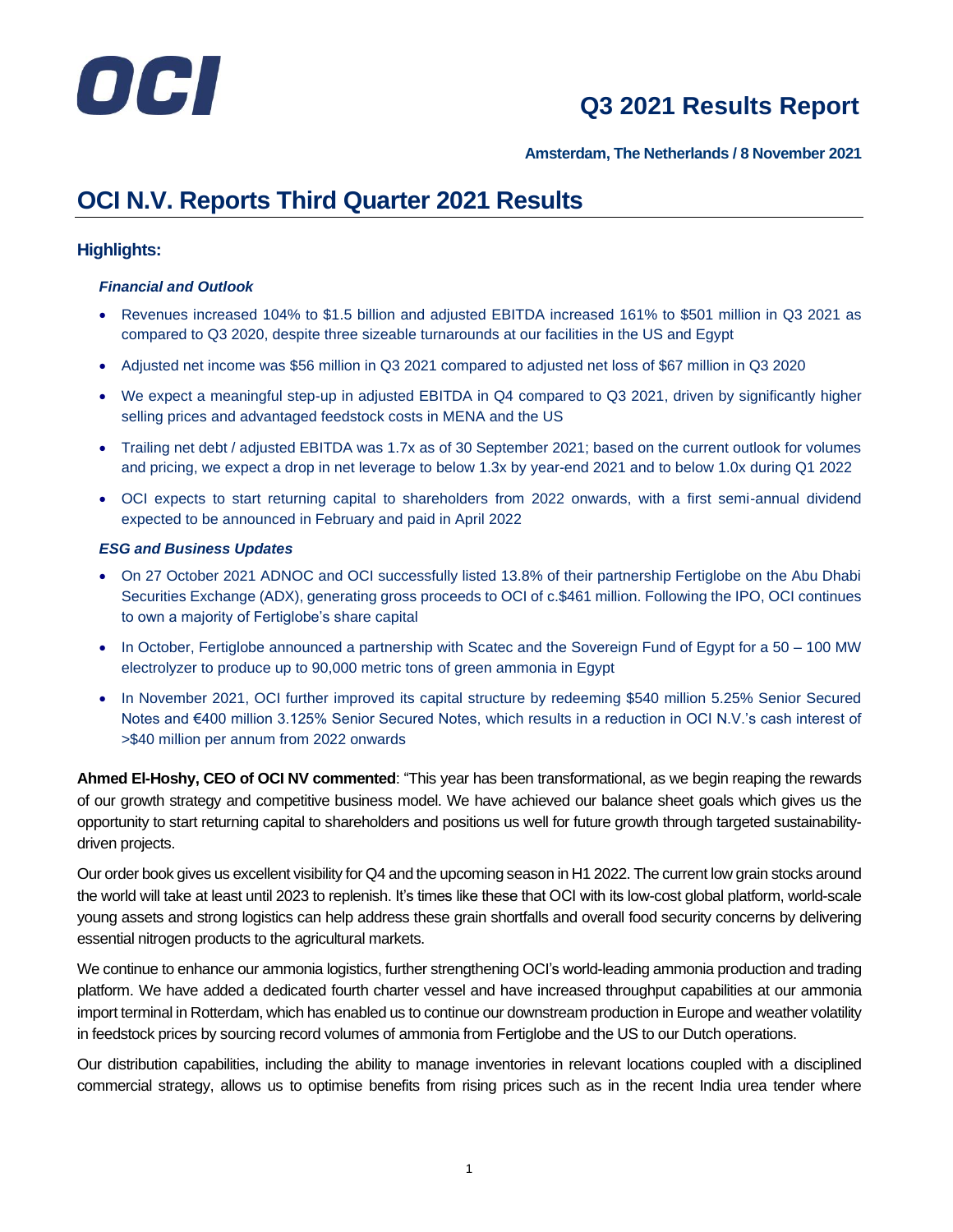

**Amsterdam, The Netherlands / 8 November 2021**

# **OCI N.V. Reports Third Quarter 2021 Results**

## **Highlights:**

## *Financial and Outlook*

- Revenues increased 104% to \$1.5 billion and adjusted EBITDA increased 161% to \$501 million in Q3 2021 as compared to Q3 2020, despite three sizeable turnarounds at our facilities in the US and Egypt
- Adjusted net income was \$56 million in Q3 2021 compared to adjusted net loss of \$67 million in Q3 2020
- We expect a meaningful step-up in adjusted EBITDA in Q4 compared to Q3 2021, driven by significantly higher selling prices and advantaged feedstock costs in MENA and the US
- Trailing net debt / adjusted EBITDA was 1.7x as of 30 September 2021; based on the current outlook for volumes and pricing, we expect a drop in net leverage to below 1.3x by year-end 2021 and to below 1.0x during Q1 2022
- OCI expects to start returning capital to shareholders from 2022 onwards, with a first semi-annual dividend expected to be announced in February and paid in April 2022

## *ESG and Business Updates*

- On 27 October 2021 ADNOC and OCI successfully listed 13.8% of their partnership Fertiglobe on the Abu Dhabi Securities Exchange (ADX), generating gross proceeds to OCI of c.\$461 million. Following the IPO, OCI continues to own a majority of Fertiglobe's share capital
- In October, Fertiglobe announced a partnership with Scatec and the Sovereign Fund of Egypt for a 50 100 MW electrolyzer to produce up to 90,000 metric tons of green ammonia in Egypt
- In November 2021, OCI further improved its capital structure by redeeming \$540 million 5.25% Senior Secured Notes and €400 million 3.125% Senior Secured Notes, which results in a reduction in OCI N.V.'s cash interest of >\$40 million per annum from 2022 onwards

**Ahmed El-Hoshy, CEO of OCI NV commented**: "This year has been transformational, as we begin reaping the rewards of our growth strategy and competitive business model. We have achieved our balance sheet goals which gives us the opportunity to start returning capital to shareholders and positions us well for future growth through targeted sustainabilitydriven projects.

Our order book gives us excellent visibility for Q4 and the upcoming season in H1 2022. The current low grain stocks around the world will take at least until 2023 to replenish. It's times like these that OCI with its low-cost global platform, world-scale young assets and strong logistics can help address these grain shortfalls and overall food security concerns by delivering essential nitrogen products to the agricultural markets.

We continue to enhance our ammonia logistics, further strengthening OCI's world-leading ammonia production and trading platform. We have added a dedicated fourth charter vessel and have increased throughput capabilities at our ammonia import terminal in Rotterdam, which has enabled us to continue our downstream production in Europe and weather volatility in feedstock prices by sourcing record volumes of ammonia from Fertiglobe and the US to our Dutch operations.

Our distribution capabilities, including the ability to manage inventories in relevant locations coupled with a disciplined commercial strategy, allows us to optimise benefits from rising prices such as in the recent India urea tender where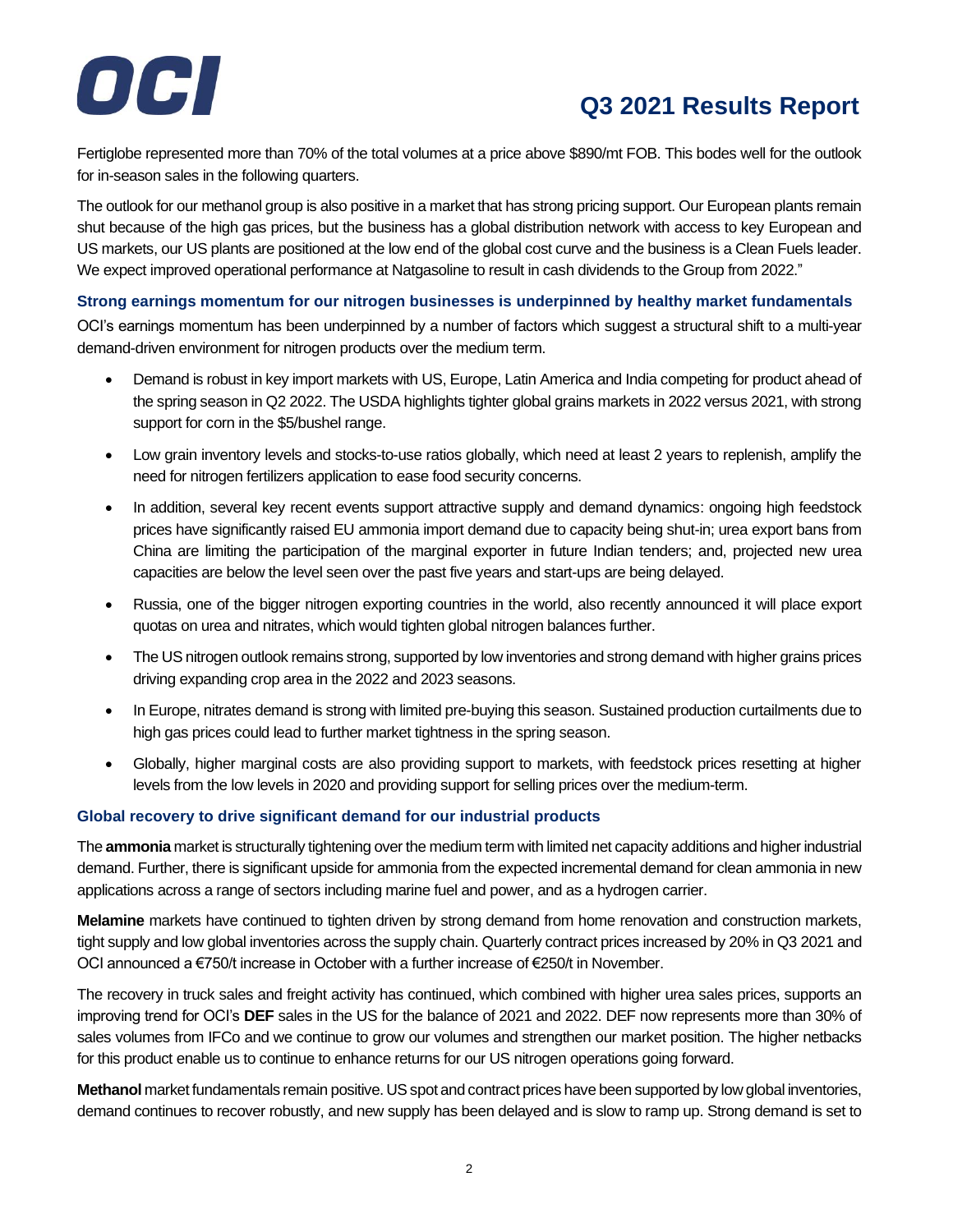# $\bullet$   $\bullet$

# **Q3 2021 Results Report**

Fertiglobe represented more than 70% of the total volumes at a price above \$890/mt FOB. This bodes well for the outlook for in-season sales in the following quarters.

The outlook for our methanol group is also positive in a market that has strong pricing support. Our European plants remain shut because of the high gas prices, but the business has a global distribution network with access to key European and US markets, our US plants are positioned at the low end of the global cost curve and the business is a Clean Fuels leader. We expect improved operational performance at Natgasoline to result in cash dividends to the Group from 2022."

## **Strong earnings momentum for our nitrogen businesses is underpinned by healthy market fundamentals**

OCI's earnings momentum has been underpinned by a number of factors which suggest a structural shift to a multi-year demand-driven environment for nitrogen products over the medium term.

- Demand is robust in key import markets with US, Europe, Latin America and India competing for product ahead of the spring season in Q2 2022. The USDA highlights tighter global grains markets in 2022 versus 2021, with strong support for corn in the \$5/bushel range.
- Low grain inventory levels and stocks-to-use ratios globally, which need at least 2 years to replenish, amplify the need for nitrogen fertilizers application to ease food security concerns.
- In addition, several key recent events support attractive supply and demand dynamics: ongoing high feedstock prices have significantly raised EU ammonia import demand due to capacity being shut-in; urea export bans from China are limiting the participation of the marginal exporter in future Indian tenders; and, projected new urea capacities are below the level seen over the past five years and start-ups are being delayed.
- Russia, one of the bigger nitrogen exporting countries in the world, also recently announced it will place export quotas on urea and nitrates, which would tighten global nitrogen balances further.
- The US nitrogen outlook remains strong, supported by low inventories and strong demand with higher grains prices driving expanding crop area in the 2022 and 2023 seasons.
- In Europe, nitrates demand is strong with limited pre-buying this season. Sustained production curtailments due to high gas prices could lead to further market tightness in the spring season.
- Globally, higher marginal costs are also providing support to markets, with feedstock prices resetting at higher levels from the low levels in 2020 and providing support for selling prices over the medium-term.

## **Global recovery to drive significant demand for our industrial products**

The **ammonia** market is structurally tightening over the medium term with limited net capacity additions and higher industrial demand. Further, there is significant upside for ammonia from the expected incremental demand for clean ammonia in new applications across a range of sectors including marine fuel and power, and as a hydrogen carrier.

**Melamine** markets have continued to tighten driven by strong demand from home renovation and construction markets, tight supply and low global inventories across the supply chain. Quarterly contract prices increased by 20% in Q3 2021 and OCI announced a €750/t increase in October with a further increase of €250/t in November.

The recovery in truck sales and freight activity has continued, which combined with higher urea sales prices, supports an improving trend for OCI's **DEF** sales in the US for the balance of 2021 and 2022. DEF now represents more than 30% of sales volumes from IFCo and we continue to grow our volumes and strengthen our market position. The higher netbacks for this product enable us to continue to enhance returns for our US nitrogen operations going forward.

**Methanol** market fundamentals remain positive. US spot and contract prices have been supported by low global inventories, demand continues to recover robustly, and new supply has been delayed and is slow to ramp up. Strong demand is set to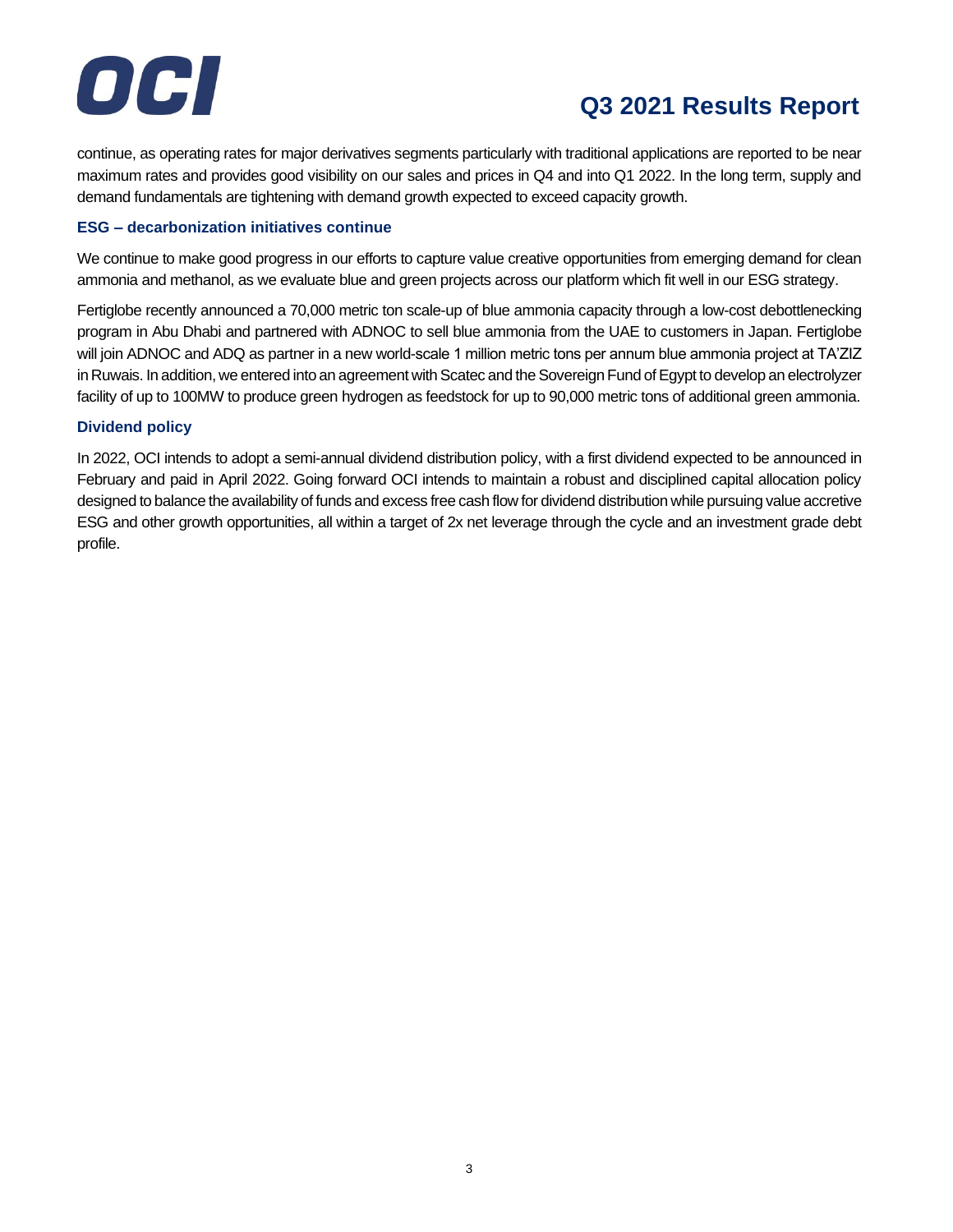

continue, as operating rates for major derivatives segments particularly with traditional applications are reported to be near maximum rates and provides good visibility on our sales and prices in Q4 and into Q1 2022. In the long term, supply and demand fundamentals are tightening with demand growth expected to exceed capacity growth.

## **ESG – decarbonization initiatives continue**

We continue to make good progress in our efforts to capture value creative opportunities from emerging demand for clean ammonia and methanol, as we evaluate blue and green projects across our platform which fit well in our ESG strategy.

Fertiglobe recently announced a 70,000 metric ton scale-up of blue ammonia capacity through a low-cost debottlenecking program in Abu Dhabi and partnered with ADNOC to sell blue ammonia from the UAE to customers in Japan. Fertiglobe will join ADNOC and ADQ as partner in a new world-scale 1 million metric tons per annum blue ammonia project at TA'ZIZ in Ruwais. In addition, we entered into an agreement with Scatec and the Sovereign Fund of Egypt to develop an electrolyzer facility of up to 100MW to produce green hydrogen as feedstock for up to 90,000 metric tons of additional green ammonia.

## **Dividend policy**

In 2022, OCI intends to adopt a semi-annual dividend distribution policy, with a first dividend expected to be announced in February and paid in April 2022. Going forward OCI intends to maintain a robust and disciplined capital allocation policy designed to balance the availability of funds and excess free cash flow for dividend distribution while pursuing value accretive ESG and other growth opportunities, all within a target of 2x net leverage through the cycle and an investment grade debt profile.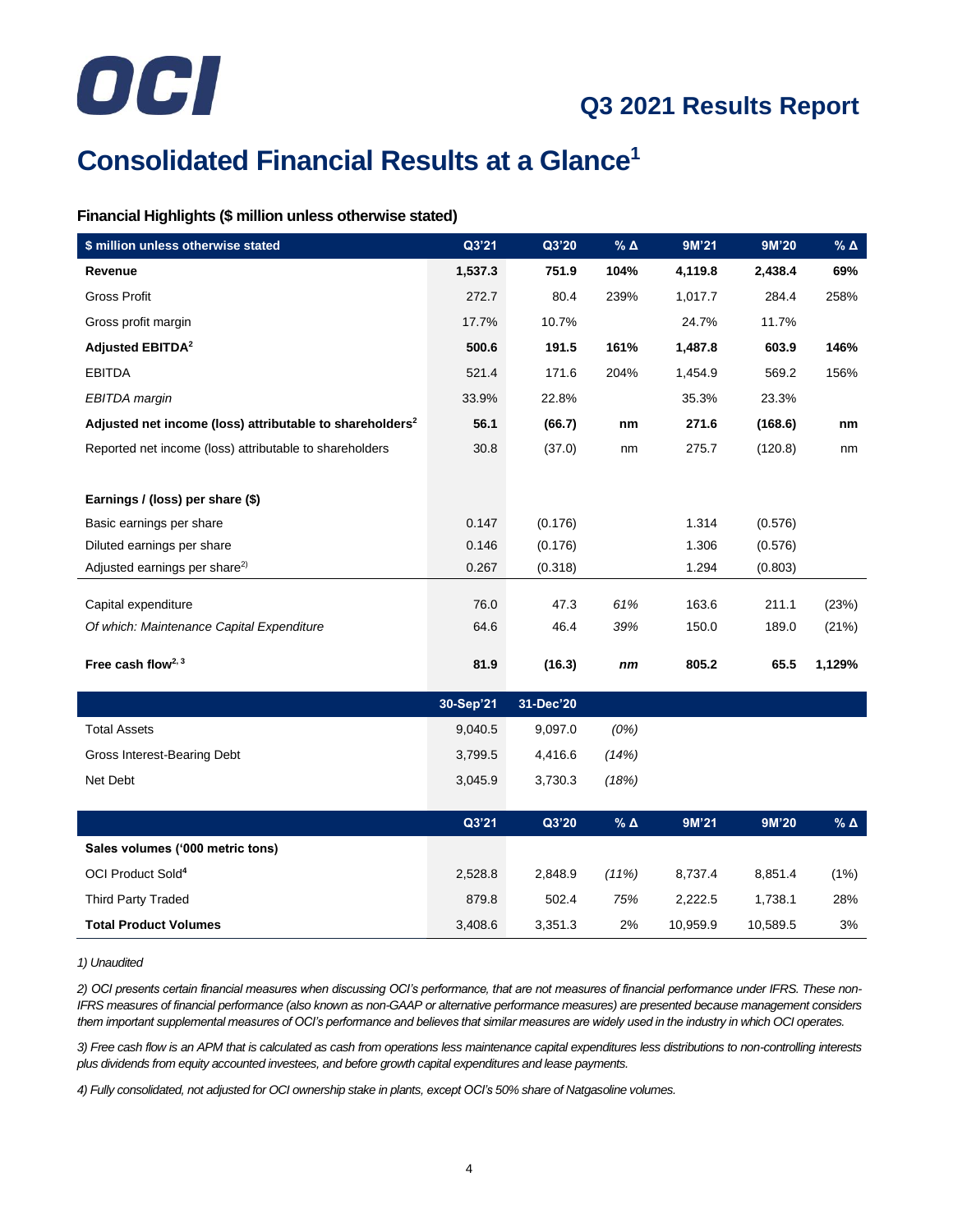

# **Consolidated Financial Results at a Glance<sup>1</sup>**

## **Financial Highlights (\$ million unless otherwise stated)**

| \$ million unless otherwise stated                                   | Q3'21     | Q3'20     | $%$ $\triangle$ | 9M'21    | 9M'20    | $% \Delta$       |
|----------------------------------------------------------------------|-----------|-----------|-----------------|----------|----------|------------------|
| Revenue                                                              | 1,537.3   | 751.9     | 104%            | 4,119.8  | 2,438.4  | 69%              |
| <b>Gross Profit</b>                                                  | 272.7     | 80.4      | 239%            | 1,017.7  | 284.4    | 258%             |
| Gross profit margin                                                  | 17.7%     | 10.7%     |                 | 24.7%    | 11.7%    |                  |
| <b>Adjusted EBITDA<sup>2</sup></b>                                   | 500.6     | 191.5     | 161%            | 1,487.8  | 603.9    | 146%             |
| <b>EBITDA</b>                                                        | 521.4     | 171.6     | 204%            | 1,454.9  | 569.2    | 156%             |
| EBITDA margin                                                        | 33.9%     | 22.8%     |                 | 35.3%    | 23.3%    |                  |
| Adjusted net income (loss) attributable to shareholders <sup>2</sup> | 56.1      | (66.7)    | nm              | 271.6    | (168.6)  | nm               |
| Reported net income (loss) attributable to shareholders              | 30.8      | (37.0)    | nm              | 275.7    | (120.8)  | nm               |
|                                                                      |           |           |                 |          |          |                  |
| Earnings / (loss) per share (\$)                                     |           |           |                 |          |          |                  |
| Basic earnings per share                                             | 0.147     | (0.176)   |                 | 1.314    | (0.576)  |                  |
| Diluted earnings per share                                           | 0.146     | (0.176)   |                 | 1.306    | (0.576)  |                  |
| Adjusted earnings per share <sup>2)</sup>                            | 0.267     | (0.318)   |                 | 1.294    | (0.803)  |                  |
| Capital expenditure                                                  | 76.0      | 47.3      | 61%             | 163.6    | 211.1    | (23%)            |
| Of which: Maintenance Capital Expenditure                            | 64.6      | 46.4      | 39%             | 150.0    | 189.0    | (21%)            |
|                                                                      |           |           |                 |          |          |                  |
| Free cash flow $2,3$                                                 | 81.9      | (16.3)    | nm              | 805.2    | 65.5     | 1,129%           |
|                                                                      | 30-Sep'21 | 31-Dec'20 |                 |          |          |                  |
| <b>Total Assets</b>                                                  | 9,040.5   | 9,097.0   | (0%)            |          |          |                  |
| Gross Interest-Bearing Debt                                          | 3,799.5   | 4,416.6   | (14%)           |          |          |                  |
| Net Debt                                                             | 3,045.9   | 3,730.3   | (18%)           |          |          |                  |
|                                                                      |           |           |                 |          |          |                  |
|                                                                      | Q3'21     | Q3'20     | % $\Delta$      | 9M'21    | 9M'20    | % $\pmb{\Delta}$ |
| Sales volumes ('000 metric tons)                                     |           |           |                 |          |          |                  |
| OCI Product Sold <sup>4</sup>                                        | 2,528.8   | 2,848.9   | (11%)           | 8,737.4  | 8,851.4  | $(1\%)$          |
| <b>Third Party Traded</b>                                            | 879.8     | 502.4     | 75%             | 2,222.5  | 1,738.1  | 28%              |
| <b>Total Product Volumes</b>                                         | 3,408.6   | 3,351.3   | 2%              | 10,959.9 | 10,589.5 | 3%               |

#### *1) Unaudited*

*2) OCI presents certain financial measures when discussing OCI's performance, that are not measures of financial performance under IFRS. These non-IFRS measures of financial performance (also known as non-GAAP or alternative performance measures) are presented because management considers them important supplemental measures of OCI's performance and believes that similar measures are widely used in the industry in which OCI operates.*

*3) Free cash flow is an APM that is calculated as cash from operations less maintenance capital expenditures less distributions to non-controlling interests plus dividends from equity accounted investees, and before growth capital expenditures and lease payments.*

*4) Fully consolidated, not adjusted for OCI ownership stake in plants, except OCI's 50% share of Natgasoline volumes.*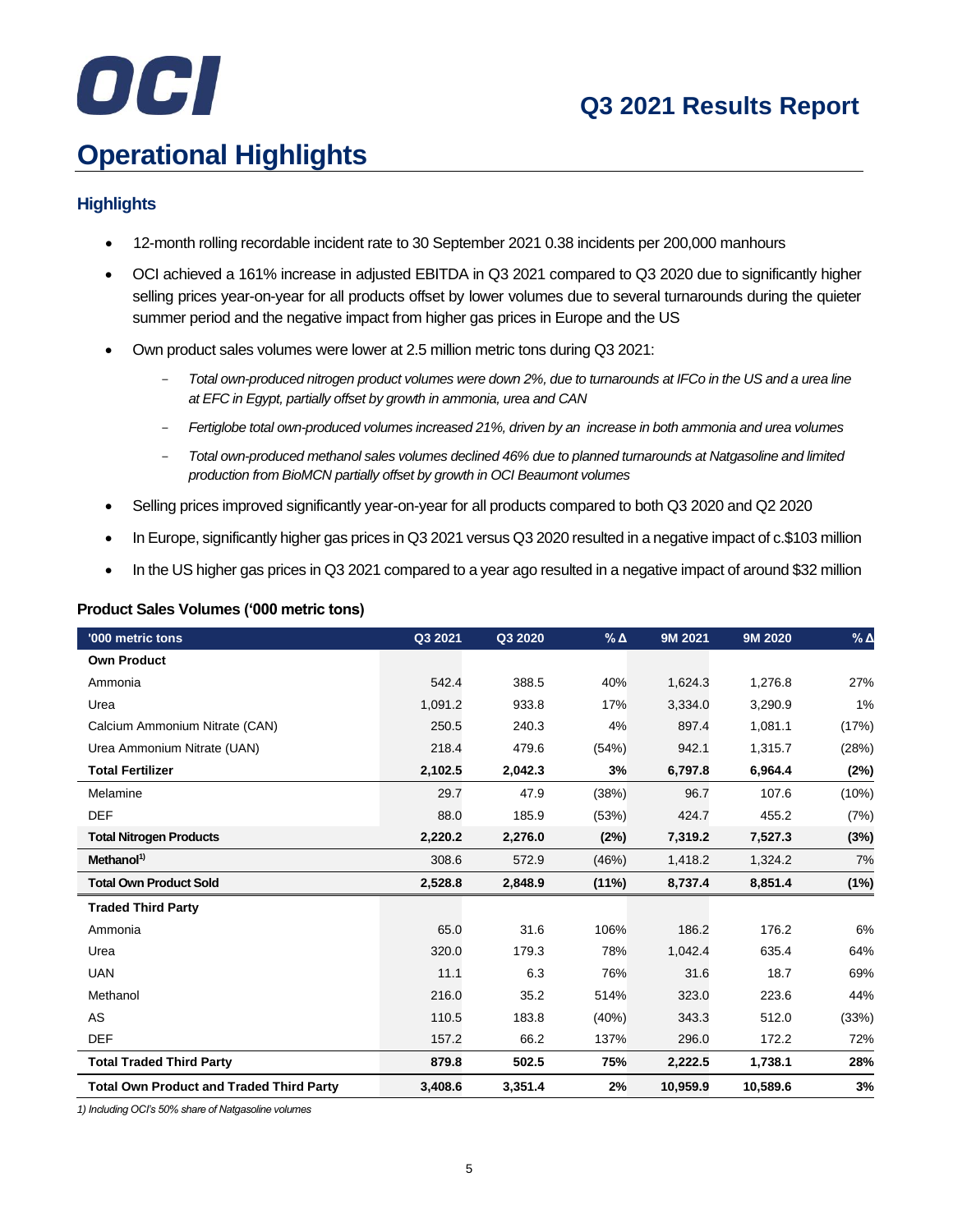# OCI

## **Q3 2021 Results Report**

# **Operational Highlights**

## **Highlights**

- 12-month rolling recordable incident rate to 30 September 2021 0.38 incidents per 200,000 manhours
- OCI achieved a 161% increase in adjusted EBITDA in Q3 2021 compared to Q3 2020 due to significantly higher selling prices year-on-year for all products offset by lower volumes due to several turnarounds during the quieter summer period and the negative impact from higher gas prices in Europe and the US
- Own product sales volumes were lower at 2.5 million metric tons during Q3 2021:
	- *Total own-produced nitrogen product volumes were down 2%, due to turnarounds at IFCo in the US and a urea line at EFC in Egypt, partially offset by growth in ammonia, urea and CAN*
	- *Fertiglobe total own-produced volumes increased 21%, driven by an increase in both ammonia and urea volumes*
	- *Total own-produced methanol sales volumes declined 46% due to planned turnarounds at Natgasoline and limited production from BioMCN partially offset by growth in OCI Beaumont volumes*
- Selling prices improved significantly year-on-year for all products compared to both Q3 2020 and Q2 2020
- In Europe, significantly higher gas prices in Q3 2021 versus Q3 2020 resulted in a negative impact of c.\$103 million
- In the US higher gas prices in Q3 2021 compared to a year ago resulted in a negative impact of around \$32 million

| <b>Product Sales Volumes ('000 metric tons)</b> |  |  |  |
|-------------------------------------------------|--|--|--|
|-------------------------------------------------|--|--|--|

| '000 metric tons                                | Q3 2021 | Q3 2020 | $%$ $\triangle$ | 9M 2021  | 9M 2020  | $%$ $\Delta$ |
|-------------------------------------------------|---------|---------|-----------------|----------|----------|--------------|
| <b>Own Product</b>                              |         |         |                 |          |          |              |
| Ammonia                                         | 542.4   | 388.5   | 40%             | 1,624.3  | 1,276.8  | 27%          |
| Urea                                            | 1,091.2 | 933.8   | 17%             | 3,334.0  | 3,290.9  | 1%           |
| Calcium Ammonium Nitrate (CAN)                  | 250.5   | 240.3   | 4%              | 897.4    | 1,081.1  | (17%)        |
| Urea Ammonium Nitrate (UAN)                     | 218.4   | 479.6   | (54%)           | 942.1    | 1,315.7  | (28%)        |
| <b>Total Fertilizer</b>                         | 2,102.5 | 2,042.3 | 3%              | 6,797.8  | 6,964.4  | (2%)         |
| Melamine                                        | 29.7    | 47.9    | (38%)           | 96.7     | 107.6    | (10%)        |
| <b>DEF</b>                                      | 88.0    | 185.9   | (53%)           | 424.7    | 455.2    | (7%)         |
| <b>Total Nitrogen Products</b>                  | 2,220.2 | 2,276.0 | (2%)            | 7,319.2  | 7,527.3  | (3%)         |
| Methanol <sup>1)</sup>                          | 308.6   | 572.9   | (46%)           | 1,418.2  | 1,324.2  | 7%           |
| <b>Total Own Product Sold</b>                   | 2,528.8 | 2,848.9 | $(11\%)$        | 8,737.4  | 8,851.4  | (1%)         |
| <b>Traded Third Party</b>                       |         |         |                 |          |          |              |
| Ammonia                                         | 65.0    | 31.6    | 106%            | 186.2    | 176.2    | 6%           |
| Urea                                            | 320.0   | 179.3   | 78%             | 1,042.4  | 635.4    | 64%          |
| <b>UAN</b>                                      | 11.1    | 6.3     | 76%             | 31.6     | 18.7     | 69%          |
| Methanol                                        | 216.0   | 35.2    | 514%            | 323.0    | 223.6    | 44%          |
| AS                                              | 110.5   | 183.8   | (40%)           | 343.3    | 512.0    | (33%)        |
| <b>DEF</b>                                      | 157.2   | 66.2    | 137%            | 296.0    | 172.2    | 72%          |
| <b>Total Traded Third Party</b>                 | 879.8   | 502.5   | 75%             | 2,222.5  | 1,738.1  | 28%          |
| <b>Total Own Product and Traded Third Party</b> | 3,408.6 | 3,351.4 | 2%              | 10,959.9 | 10,589.6 | 3%           |

*1) Including OCI's 50% share of Natgasoline volumes*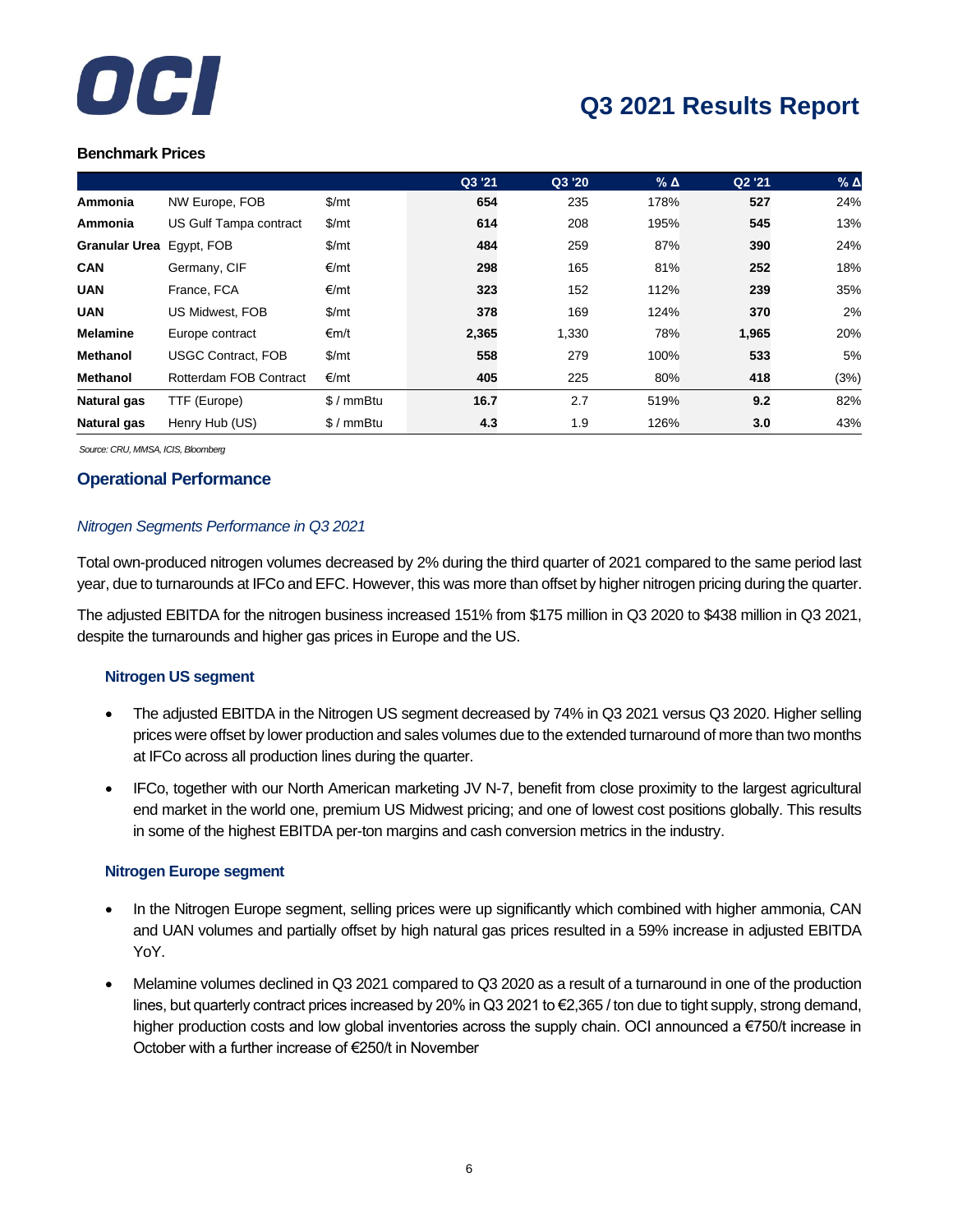

## **Benchmark Prices**

|                      |                           |               | Q3 '21 | Q3 '20 | $%$ $\triangle$ | Q2 '21 | $%$ $\triangle$ |
|----------------------|---------------------------|---------------|--------|--------|-----------------|--------|-----------------|
| Ammonia              | NW Europe, FOB            | \$/mt         | 654    | 235    | 178%            | 527    | 24%             |
| Ammonia              | US Gulf Tampa contract    | \$/mt         | 614    | 208    | 195%            | 545    | 13%             |
| <b>Granular Urea</b> | Egypt, FOB                | $\frac{m}{2}$ | 484    | 259    | 87%             | 390    | 24%             |
| <b>CAN</b>           | Germany, CIF              | €/mt          | 298    | 165    | 81%             | 252    | 18%             |
| <b>UAN</b>           | France, FCA               | €/mt          | 323    | 152    | 112%            | 239    | 35%             |
| <b>UAN</b>           | US Midwest, FOB           | \$/mt         | 378    | 169    | 124%            | 370    | 2%              |
| <b>Melamine</b>      | Europe contract           | €m/t          | 2,365  | 1,330  | 78%             | 1,965  | 20%             |
| <b>Methanol</b>      | <b>USGC Contract, FOB</b> | \$/mt         | 558    | 279    | 100%            | 533    | 5%              |
| <b>Methanol</b>      | Rotterdam FOB Contract    | €/mt          | 405    | 225    | 80%             | 418    | (3%)            |
| Natural gas          | TTF (Europe)              | $$/mmB$ tu    | 16.7   | 2.7    | 519%            | 9.2    | 82%             |
| Natural gas          | Henry Hub (US)            | $$/mmB$ tu    | 4.3    | 1.9    | 126%            | 3.0    | 43%             |

*Source: CRU, MMSA, ICIS, Bloomberg*

## **Operational Performance**

## *Nitrogen Segments Performance in Q3 2021*

Total own-produced nitrogen volumes decreased by 2% during the third quarter of 2021 compared to the same period last year, due to turnarounds at IFCo and EFC. However, this was more than offset by higher nitrogen pricing during the quarter.

The adjusted EBITDA for the nitrogen business increased 151% from \$175 million in Q3 2020 to \$438 million in Q3 2021, despite the turnarounds and higher gas prices in Europe and the US.

## **Nitrogen US segment**

- The adjusted EBITDA in the Nitrogen US segment decreased by 74% in Q3 2021 versus Q3 2020. Higher selling prices were offset by lower production and sales volumes due to the extended turnaround of more than two months at IFCo across all production lines during the quarter.
- IFCo, together with our North American marketing JV N-7, benefit from close proximity to the largest agricultural end market in the world one, premium US Midwest pricing; and one of lowest cost positions globally. This results in some of the highest EBITDA per-ton margins and cash conversion metrics in the industry.

## **Nitrogen Europe segment**

- In the Nitrogen Europe segment, selling prices were up significantly which combined with higher ammonia, CAN and UAN volumes and partially offset by high natural gas prices resulted in a 59% increase in adjusted EBITDA YoY.
- Melamine volumes declined in Q3 2021 compared to Q3 2020 as a result of a turnaround in one of the production lines, but quarterly contract prices increased by 20% in Q3 2021 to €2,365 / ton due to tight supply, strong demand, higher production costs and low global inventories across the supply chain. OCI announced a €750/t increase in October with a further increase of €250/t in November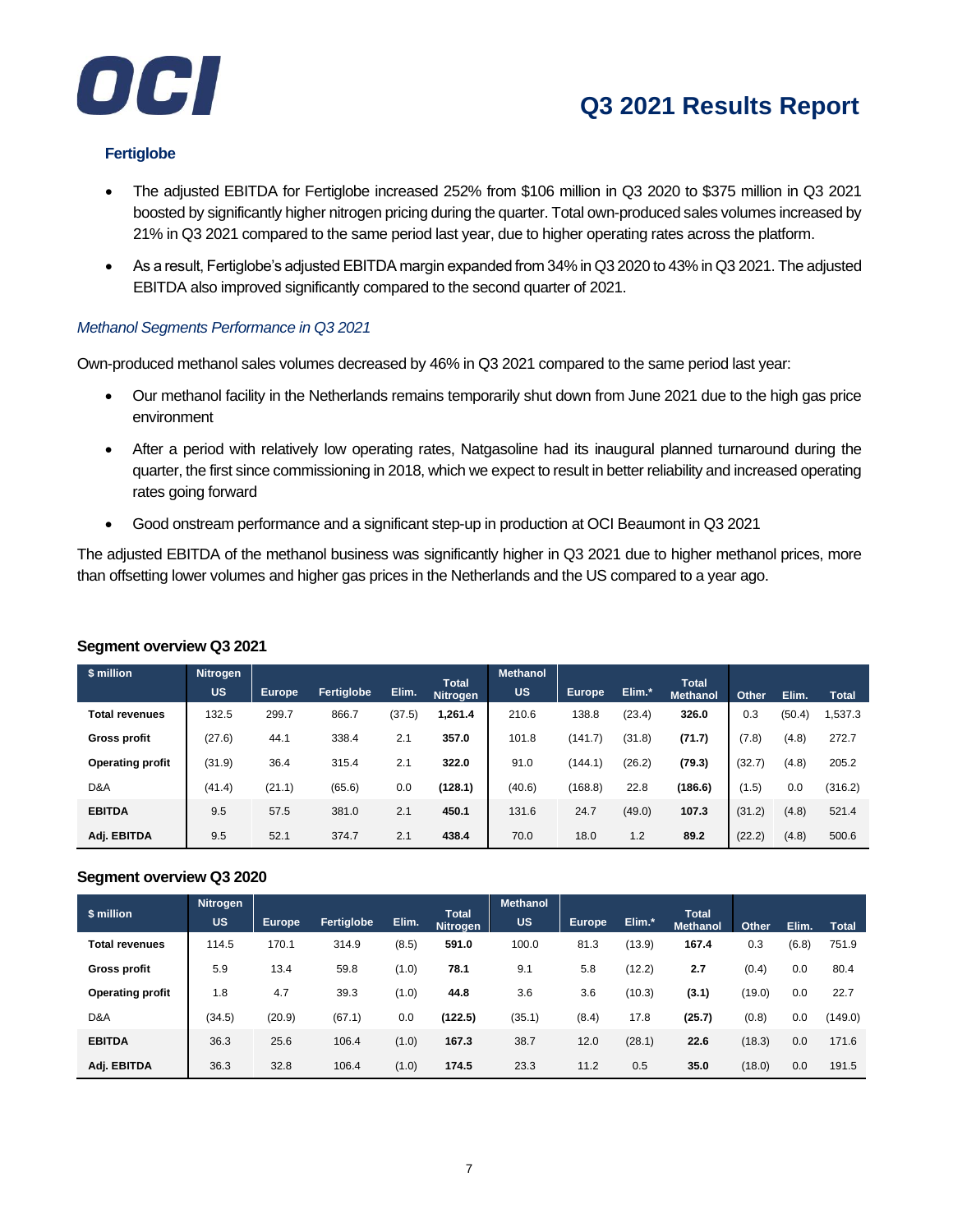



## **Fertiglobe**

- The adjusted EBITDA for Fertiglobe increased 252% from \$106 million in Q3 2020 to \$375 million in Q3 2021 boosted by significantly higher nitrogen pricing during the quarter. Total own-produced sales volumes increased by 21% in Q3 2021 compared to the same period last year, due to higher operating rates across the platform.
- As a result, Fertiglobe's adjusted EBITDA margin expanded from 34% in Q3 2020 to 43% in Q3 2021. The adjusted EBITDA also improved significantly compared to the second quarter of 2021.

## *Methanol Segments Performance in Q3 2021*

Own-produced methanol sales volumes decreased by 46% in Q3 2021 compared to the same period last year:

- Our methanol facility in the Netherlands remains temporarily shut down from June 2021 due to the high gas price environment
- After a period with relatively low operating rates, Natgasoline had its inaugural planned turnaround during the quarter, the first since commissioning in 2018, which we expect to result in better reliability and increased operating rates going forward
- Good onstream performance and a significant step-up in production at OCI Beaumont in Q3 2021

The adjusted EBITDA of the methanol business was significantly higher in Q3 2021 due to higher methanol prices, more than offsetting lower volumes and higher gas prices in the Netherlands and the US compared to a year ago.

| \$ million              | <b>Nitrogen</b> |               |            |        |                                 | <b>Methanol</b> |               |        |                                 |        |        |              |
|-------------------------|-----------------|---------------|------------|--------|---------------------------------|-----------------|---------------|--------|---------------------------------|--------|--------|--------------|
|                         | <b>US</b>       | <b>Europe</b> | Fertiglobe | Elim.  | <b>Total</b><br><b>Nitrogen</b> | <b>US</b>       | <b>Europe</b> | Elim.* | <b>Total</b><br><b>Methanol</b> | Other  | Elim.  | <b>Total</b> |
| <b>Total revenues</b>   | 132.5           | 299.7         | 866.7      | (37.5) | 1,261.4                         | 210.6           | 138.8         | (23.4) | 326.0                           | 0.3    | (50.4) | 1,537.3      |
| <b>Gross profit</b>     | (27.6)          | 44.1          | 338.4      | 2.1    | 357.0                           | 101.8           | (141.7)       | (31.8) | (71.7)                          | (7.8)  | (4.8)  | 272.7        |
| <b>Operating profit</b> | (31.9)          | 36.4          | 315.4      | 2.1    | 322.0                           | 91.0            | (144.1)       | (26.2) | (79.3)                          | (32.7) | (4.8)  | 205.2        |
| D&A                     | (41.4)          | (21.1)        | (65.6)     | 0.0    | (128.1)                         | (40.6)          | (168.8)       | 22.8   | (186.6)                         | (1.5)  | 0.0    | (316.2)      |
| <b>EBITDA</b>           | 9.5             | 57.5          | 381.0      | 2.1    | 450.1                           | 131.6           | 24.7          | (49.0) | 107.3                           | (31.2) | (4.8)  | 521.4        |
| Adj. EBITDA             | 9.5             | 52.1          | 374.7      | 2.1    | 438.4                           | 70.0            | 18.0          | 1.2    | 89.2                            | (22.2) | (4.8)  | 500.6        |

## **Segment overview Q3 2021**

## **Segment overview Q3 2020**

| \$ million              | <b>Nitrogen</b><br><b>US</b> | <b>Europe</b> | Fertiglobe | Elim. | <b>Total</b><br><b>Nitrogen</b> | <b>Methanol</b><br><b>US</b> | <b>Europe</b> | Elim.* | <b>Total</b><br><b>Methanol</b> | Other  | Elim. | <b>Total</b> |
|-------------------------|------------------------------|---------------|------------|-------|---------------------------------|------------------------------|---------------|--------|---------------------------------|--------|-------|--------------|
| <b>Total revenues</b>   | 114.5                        | 170.1         | 314.9      | (8.5) | 591.0                           | 100.0                        | 81.3          | (13.9) | 167.4                           | 0.3    | (6.8) | 751.9        |
| <b>Gross profit</b>     | 5.9                          | 13.4          | 59.8       | (1.0) | 78.1                            | 9.1                          | 5.8           | (12.2) | 2.7                             | (0.4)  | 0.0   | 80.4         |
| <b>Operating profit</b> | 1.8                          | 4.7           | 39.3       | (1.0) | 44.8                            | 3.6                          | 3.6           | (10.3) | (3.1)                           | (19.0) | 0.0   | 22.7         |
| D&A                     | (34.5)                       | (20.9)        | (67.1)     | 0.0   | (122.5)                         | (35.1)                       | (8.4)         | 17.8   | (25.7)                          | (0.8)  | 0.0   | (149.0)      |
| <b>EBITDA</b>           | 36.3                         | 25.6          | 106.4      | (1.0) | 167.3                           | 38.7                         | 12.0          | (28.1) | 22.6                            | (18.3) | 0.0   | 171.6        |
| Adj. EBITDA             | 36.3                         | 32.8          | 106.4      | (1.0) | 174.5                           | 23.3                         | 11.2          | 0.5    | 35.0                            | (18.0) | 0.0   | 191.5        |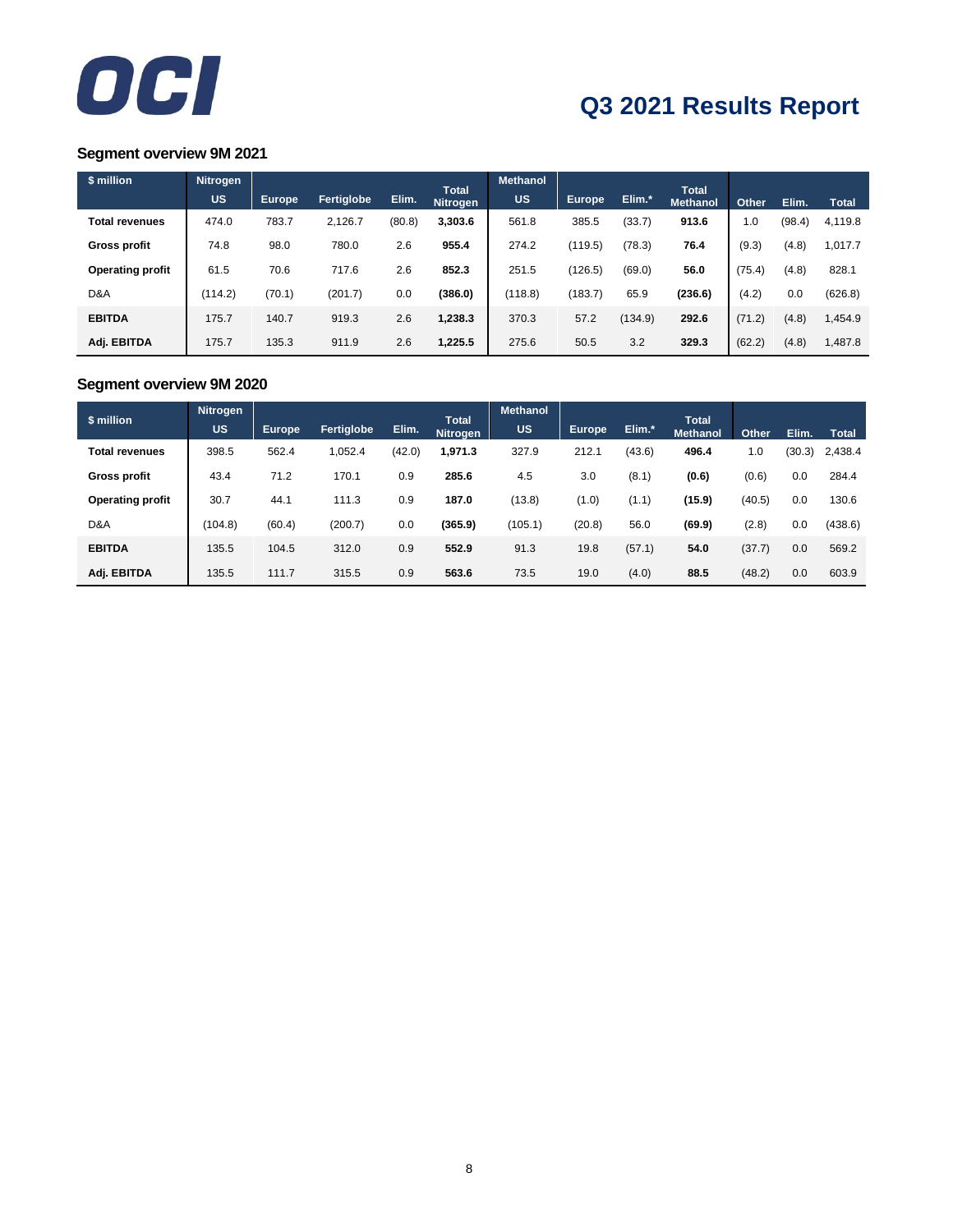

## **Segment overview 9M 2021**

| \$ million              | <b>Nitrogen</b> |               |            |        |                                 | <b>Methanol</b> |               |         |                                 |        |        |              |
|-------------------------|-----------------|---------------|------------|--------|---------------------------------|-----------------|---------------|---------|---------------------------------|--------|--------|--------------|
|                         | <b>US</b>       | <b>Europe</b> | Fertiglobe | Elim.  | <b>Total</b><br><b>Nitrogen</b> | <b>US</b>       | <b>Europe</b> | Elim.*  | <b>Total</b><br><b>Methanol</b> | Other  | Elim.  | <b>Total</b> |
| <b>Total revenues</b>   | 474.0           | 783.7         | 2,126.7    | (80.8) | 3,303.6                         | 561.8           | 385.5         | (33.7)  | 913.6                           | 1.0    | (98.4) | 4,119.8      |
| <b>Gross profit</b>     | 74.8            | 98.0          | 780.0      | 2.6    | 955.4                           | 274.2           | (119.5)       | (78.3)  | 76.4                            | (9.3)  | (4.8)  | 1,017.7      |
| <b>Operating profit</b> | 61.5            | 70.6          | 717.6      | 2.6    | 852.3                           | 251.5           | (126.5)       | (69.0)  | 56.0                            | (75.4) | (4.8)  | 828.1        |
| D&A                     | (114.2)         | (70.1)        | (201.7)    | 0.0    | (386.0)                         | (118.8)         | (183.7)       | 65.9    | (236.6)                         | (4.2)  | 0.0    | (626.8)      |
| <b>EBITDA</b>           | 175.7           | 140.7         | 919.3      | 2.6    | 1,238.3                         | 370.3           | 57.2          | (134.9) | 292.6                           | (71.2) | (4.8)  | 1,454.9      |
| Adj. EBITDA             | 175.7           | 135.3         | 911.9      | 2.6    | 1,225.5                         | 275.6           | 50.5          | 3.2     | 329.3                           | (62.2) | (4.8)  | 1,487.8      |

## **Segment overview 9M 2020**

| \$ million              | <b>Nitrogen</b> |               |            |        |                                 | <b>Methanol</b> |        |        |                                 |        |        |              |
|-------------------------|-----------------|---------------|------------|--------|---------------------------------|-----------------|--------|--------|---------------------------------|--------|--------|--------------|
|                         | <b>US</b>       | <b>Europe</b> | Fertiglobe | Elim.  | <b>Total</b><br><b>Nitrogen</b> | <b>US</b>       | Europe | Elim.* | <b>Total</b><br><b>Methanol</b> | Other  | Elim.  | <b>Total</b> |
| <b>Total revenues</b>   | 398.5           | 562.4         | 1.052.4    | (42.0) | 1,971.3                         | 327.9           | 212.1  | (43.6) | 496.4                           | 1.0    | (30.3) | 2,438.4      |
| <b>Gross profit</b>     | 43.4            | 71.2          | 170.1      | 0.9    | 285.6                           | 4.5             | 3.0    | (8.1)  | (0.6)                           | (0.6)  | 0.0    | 284.4        |
| <b>Operating profit</b> | 30.7            | 44.1          | 111.3      | 0.9    | 187.0                           | (13.8)          | (1.0)  | (1.1)  | (15.9)                          | (40.5) | 0.0    | 130.6        |
| D&A                     | (104.8)         | (60.4)        | (200.7)    | 0.0    | (365.9)                         | (105.1)         | (20.8) | 56.0   | (69.9)                          | (2.8)  | 0.0    | (438.6)      |
| <b>EBITDA</b>           | 135.5           | 104.5         | 312.0      | 0.9    | 552.9                           | 91.3            | 19.8   | (57.1) | 54.0                            | (37.7) | 0.0    | 569.2        |
| Adj. EBITDA             | 135.5           | 111.7         | 315.5      | 0.9    | 563.6                           | 73.5            | 19.0   | (4.0)  | 88.5                            | (48.2) | 0.0    | 603.9        |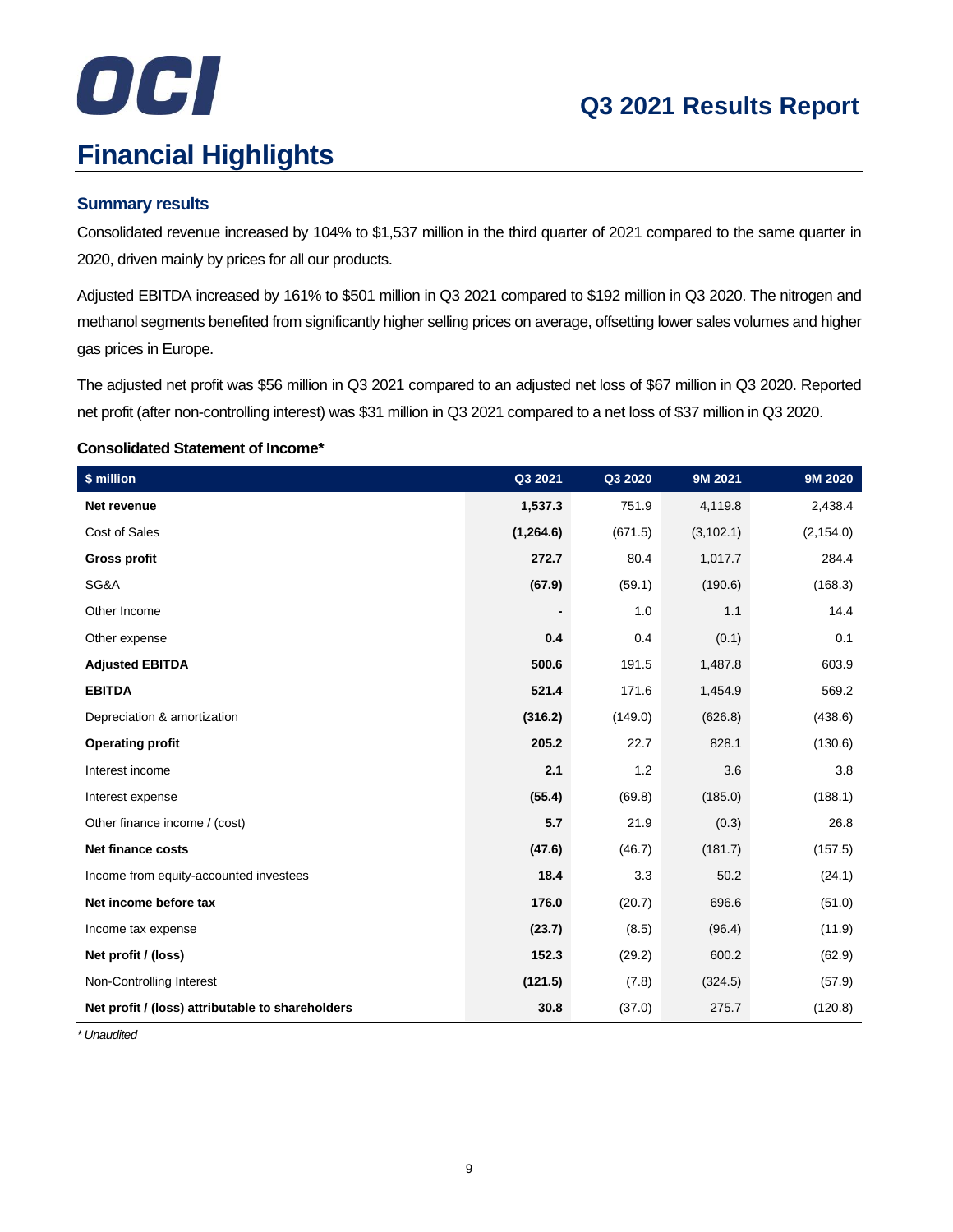# OCI

# **Financial Highlights**

## **Summary results**

Consolidated revenue increased by 104% to \$1,537 million in the third quarter of 2021 compared to the same quarter in 2020, driven mainly by prices for all our products.

Adjusted EBITDA increased by 161% to \$501 million in Q3 2021 compared to \$192 million in Q3 2020. The nitrogen and methanol segments benefited from significantly higher selling prices on average, offsetting lower sales volumes and higher gas prices in Europe.

The adjusted net profit was \$56 million in Q3 2021 compared to an adjusted net loss of \$67 million in Q3 2020. Reported net profit (after non-controlling interest) was \$31 million in Q3 2021 compared to a net loss of \$37 million in Q3 2020.

## **Consolidated Statement of Income\***

| \$ million                                       | Q3 2021    | Q3 2020 | 9M 2021    | 9M 2020    |
|--------------------------------------------------|------------|---------|------------|------------|
| Net revenue                                      | 1,537.3    | 751.9   | 4,119.8    | 2,438.4    |
| Cost of Sales                                    | (1, 264.6) | (671.5) | (3, 102.1) | (2, 154.0) |
| <b>Gross profit</b>                              | 272.7      | 80.4    | 1,017.7    | 284.4      |
| SG&A                                             | (67.9)     | (59.1)  | (190.6)    | (168.3)    |
| Other Income                                     |            | 1.0     | 1.1        | 14.4       |
| Other expense                                    | 0.4        | 0.4     | (0.1)      | 0.1        |
| <b>Adjusted EBITDA</b>                           | 500.6      | 191.5   | 1,487.8    | 603.9      |
| <b>EBITDA</b>                                    | 521.4      | 171.6   | 1,454.9    | 569.2      |
| Depreciation & amortization                      | (316.2)    | (149.0) | (626.8)    | (438.6)    |
| <b>Operating profit</b>                          | 205.2      | 22.7    | 828.1      | (130.6)    |
| Interest income                                  | 2.1        | 1.2     | 3.6        | 3.8        |
| Interest expense                                 | (55.4)     | (69.8)  | (185.0)    | (188.1)    |
| Other finance income / (cost)                    | 5.7        | 21.9    | (0.3)      | 26.8       |
| <b>Net finance costs</b>                         | (47.6)     | (46.7)  | (181.7)    | (157.5)    |
| Income from equity-accounted investees           | 18.4       | 3.3     | 50.2       | (24.1)     |
| Net income before tax                            | 176.0      | (20.7)  | 696.6      | (51.0)     |
| Income tax expense                               | (23.7)     | (8.5)   | (96.4)     | (11.9)     |
| Net profit / (loss)                              | 152.3      | (29.2)  | 600.2      | (62.9)     |
| Non-Controlling Interest                         | (121.5)    | (7.8)   | (324.5)    | (57.9)     |
| Net profit / (loss) attributable to shareholders | 30.8       | (37.0)  | 275.7      | (120.8)    |

*\* Unaudited*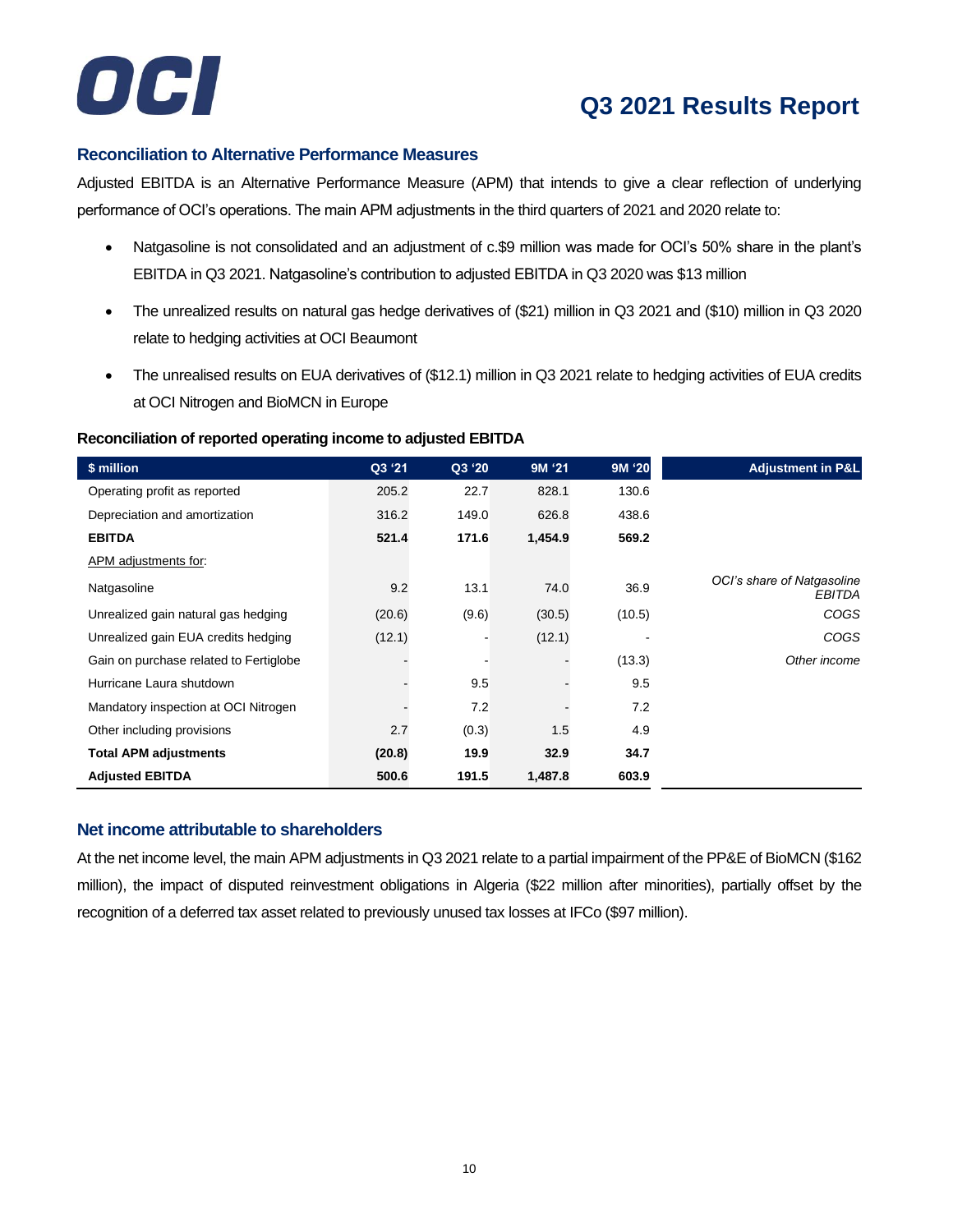

## **Reconciliation to Alternative Performance Measures**

Adjusted EBITDA is an Alternative Performance Measure (APM) that intends to give a clear reflection of underlying performance of OCI's operations. The main APM adjustments in the third quarters of 2021 and 2020 relate to:

- Natgasoline is not consolidated and an adjustment of c.\$9 million was made for OCI's 50% share in the plant's EBITDA in Q3 2021. Natgasoline's contribution to adjusted EBITDA in Q3 2020 was \$13 million
- The unrealized results on natural gas hedge derivatives of (\$21) million in Q3 2021 and (\$10) million in Q3 2020 relate to hedging activities at OCI Beaumont
- The unrealised results on EUA derivatives of (\$12.1) million in Q3 2021 relate to hedging activities of EUA credits at OCI Nitrogen and BioMCN in Europe

### **Reconciliation of reported operating income to adjusted EBITDA**

| \$ million                             | Q3 '21 | Q3 '20                   | 9M '21  | 9M '20 | <b>Adjustment in P&amp;L</b>                |
|----------------------------------------|--------|--------------------------|---------|--------|---------------------------------------------|
| Operating profit as reported           | 205.2  | 22.7                     | 828.1   | 130.6  |                                             |
| Depreciation and amortization          | 316.2  | 149.0                    | 626.8   | 438.6  |                                             |
| <b>EBITDA</b>                          | 521.4  | 171.6                    | 1,454.9 | 569.2  |                                             |
| APM adjustments for:                   |        |                          |         |        |                                             |
| Natgasoline                            | 9.2    | 13.1                     | 74.0    | 36.9   | OCI's share of Natgasoline<br><b>EBITDA</b> |
| Unrealized gain natural gas hedging    | (20.6) | (9.6)                    | (30.5)  | (10.5) | <b>COGS</b>                                 |
| Unrealized gain EUA credits hedging    | (12.1) | $\overline{\phantom{a}}$ | (12.1)  |        | <b>COGS</b>                                 |
| Gain on purchase related to Fertiglobe |        |                          |         | (13.3) | Other income                                |
| Hurricane Laura shutdown               |        | 9.5                      |         | 9.5    |                                             |
| Mandatory inspection at OCI Nitrogen   |        | 7.2                      |         | 7.2    |                                             |
| Other including provisions             | 2.7    | (0.3)                    | 1.5     | 4.9    |                                             |
| <b>Total APM adjustments</b>           | (20.8) | 19.9                     | 32.9    | 34.7   |                                             |
| <b>Adjusted EBITDA</b>                 | 500.6  | 191.5                    | 1,487.8 | 603.9  |                                             |

## **Net income attributable to shareholders**

At the net income level, the main APM adjustments in Q3 2021 relate to a partial impairment of the PP&E of BioMCN (\$162 million), the impact of disputed reinvestment obligations in Algeria (\$22 million after minorities), partially offset by the recognition of a deferred tax asset related to previously unused tax losses at IFCo (\$97 million).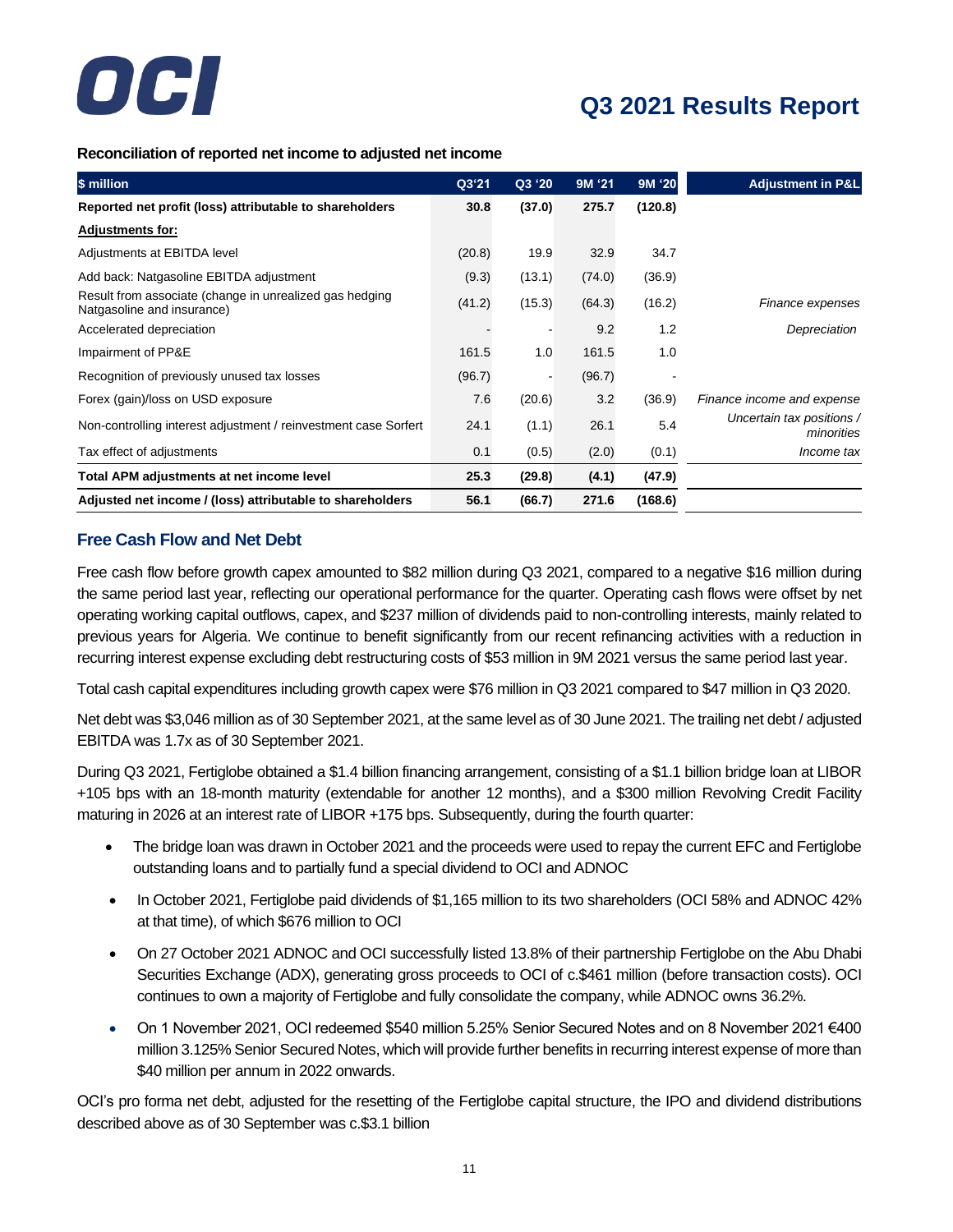

**Reconciliation of reported net income to adjusted net income**

| \$ million                                                                            | Q3'21  | Q3 '20 | 9M '21 | 9M '20  | <b>Adjustment in P&amp;L</b>            |
|---------------------------------------------------------------------------------------|--------|--------|--------|---------|-----------------------------------------|
| Reported net profit (loss) attributable to shareholders                               | 30.8   | (37.0) | 275.7  | (120.8) |                                         |
| <b>Adjustments for:</b>                                                               |        |        |        |         |                                         |
| Adjustments at EBITDA level                                                           | (20.8) | 19.9   | 32.9   | 34.7    |                                         |
| Add back: Natgasoline EBITDA adjustment                                               | (9.3)  | (13.1) | (74.0) | (36.9)  |                                         |
| Result from associate (change in unrealized gas hedging<br>Natgasoline and insurance) | (41.2) | (15.3) | (64.3) | (16.2)  | Finance expenses                        |
| Accelerated depreciation                                                              |        |        | 9.2    | 1.2     | Depreciation                            |
| Impairment of PP&E                                                                    | 161.5  | 1.0    | 161.5  | 1.0     |                                         |
| Recognition of previously unused tax losses                                           | (96.7) |        | (96.7) |         |                                         |
| Forex (gain)/loss on USD exposure                                                     | 7.6    | (20.6) | 3.2    | (36.9)  | Finance income and expense              |
| Non-controlling interest adjustment / reinvestment case Sorfert                       | 24.1   | (1.1)  | 26.1   | 5.4     | Uncertain tax positions /<br>minorities |
| Tax effect of adjustments                                                             | 0.1    | (0.5)  | (2.0)  | (0.1)   | Income tax                              |
| Total APM adjustments at net income level                                             | 25.3   | (29.8) | (4.1)  | (47.9)  |                                         |
| Adjusted net income / (loss) attributable to shareholders                             | 56.1   | (66.7) | 271.6  | (168.6) |                                         |

## **Free Cash Flow and Net Debt**

Free cash flow before growth capex amounted to \$82 million during Q3 2021, compared to a negative \$16 million during the same period last year, reflecting our operational performance for the quarter. Operating cash flows were offset by net operating working capital outflows, capex, and \$237 million of dividends paid to non-controlling interests, mainly related to previous years for Algeria. We continue to benefit significantly from our recent refinancing activities with a reduction in recurring interest expense excluding debt restructuring costs of \$53 million in 9M 2021 versus the same period last year.

Total cash capital expenditures including growth capex were \$76 million in Q3 2021 compared to \$47 million in Q3 2020.

Net debt was \$3,046 million as of 30 September 2021, at the same level as of 30 June 2021. The trailing net debt / adjusted EBITDA was 1.7x as of 30 September 2021.

During Q3 2021, Fertiglobe obtained a \$1.4 billion financing arrangement, consisting of a \$1.1 billion bridge loan at LIBOR +105 bps with an 18-month maturity (extendable for another 12 months), and a \$300 million Revolving Credit Facility maturing in 2026 at an interest rate of LIBOR +175 bps. Subsequently, during the fourth quarter:

- The bridge loan was drawn in October 2021 and the proceeds were used to repay the current EFC and Fertiglobe outstanding loans and to partially fund a special dividend to OCI and ADNOC
- In October 2021, Fertiglobe paid dividends of \$1,165 million to its two shareholders (OCI 58% and ADNOC 42% at that time), of which \$676 million to OCI
- On 27 October 2021 ADNOC and OCI successfully listed 13.8% of their partnership Fertiglobe on the Abu Dhabi Securities Exchange (ADX), generating gross proceeds to OCI of c.\$461 million (before transaction costs). OCI continues to own a majority of Fertiglobe and fully consolidate the company, while ADNOC owns 36.2%.
- On 1 November 2021, OCI redeemed \$540 million 5.25% Senior Secured Notes and on 8 November 2021 €400 million 3.125% Senior Secured Notes, which will provide further benefits in recurring interest expense of more than \$40 million per annum in 2022 onwards.

OCI's pro forma net debt, adjusted for the resetting of the Fertiglobe capital structure, the IPO and dividend distributions described above as of 30 September was c.\$3.1 billion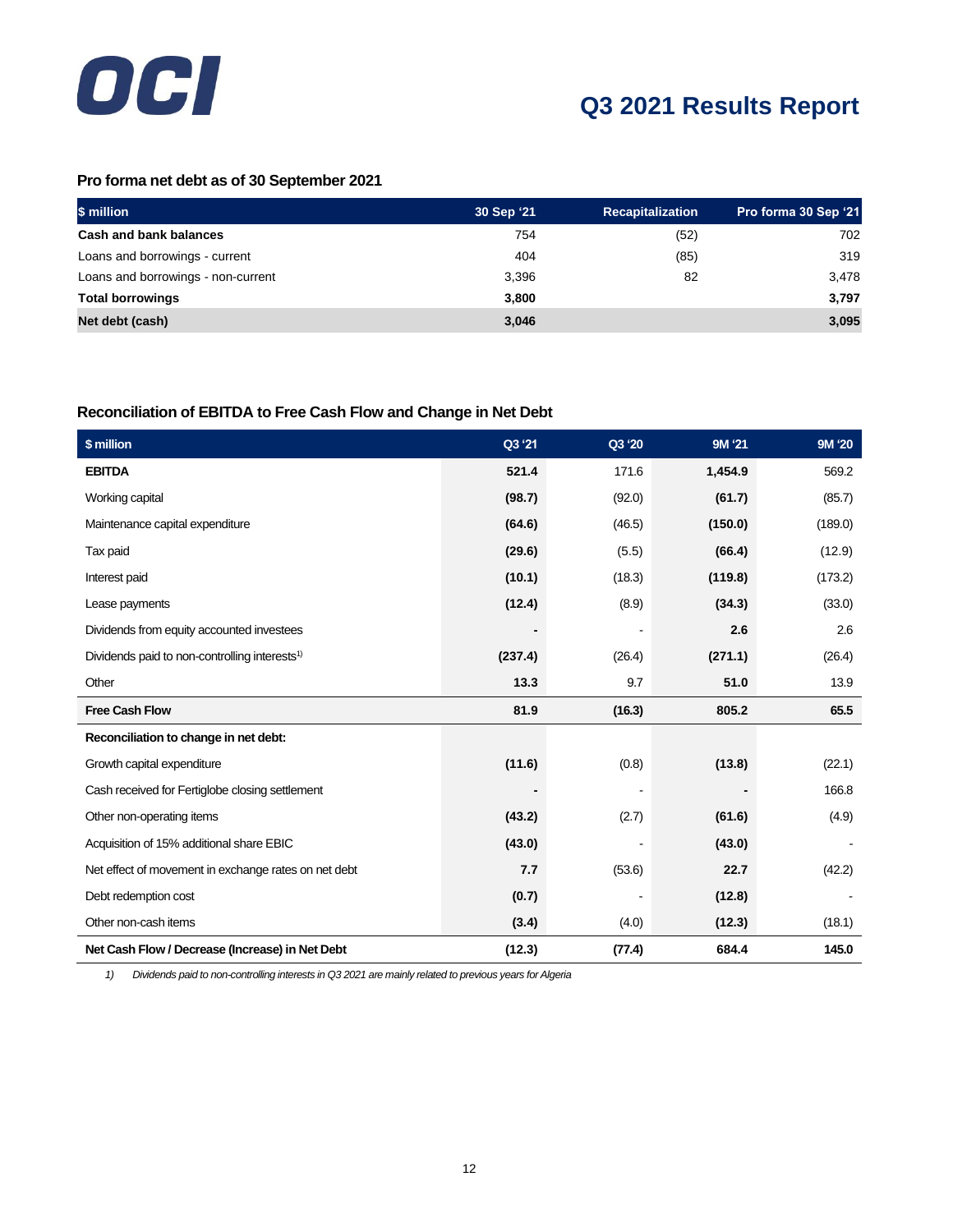

## **Pro forma net debt as of 30 September 2021**

| \$ million                         | 30 Sep '21 | <b>Recapitalization</b> | Pro forma 30 Sep '21 |
|------------------------------------|------------|-------------------------|----------------------|
| <b>Cash and bank balances</b>      | 754        | (52)                    | 702                  |
| Loans and borrowings - current     | 404        | (85)                    | 319                  |
| Loans and borrowings - non-current | 3,396      | 82                      | 3,478                |
| <b>Total borrowings</b>            | 3,800      |                         | 3,797                |
| Net debt (cash)                    | 3,046      |                         | 3,095                |

## **Reconciliation of EBITDA to Free Cash Flow and Change in Net Debt**

| \$ million                                                | Q3 '21  | Q3 '20 | 9M '21  | 9M '20  |
|-----------------------------------------------------------|---------|--------|---------|---------|
| <b>EBITDA</b>                                             | 521.4   | 171.6  | 1,454.9 | 569.2   |
| Working capital                                           | (98.7)  | (92.0) | (61.7)  | (85.7)  |
| Maintenance capital expenditure                           | (64.6)  | (46.5) | (150.0) | (189.0) |
| Tax paid                                                  | (29.6)  | (5.5)  | (66.4)  | (12.9)  |
| Interest paid                                             | (10.1)  | (18.3) | (119.8) | (173.2) |
| Lease payments                                            | (12.4)  | (8.9)  | (34.3)  | (33.0)  |
| Dividends from equity accounted investees                 |         |        | 2.6     | 2.6     |
| Dividends paid to non-controlling interests <sup>1)</sup> | (237.4) | (26.4) | (271.1) | (26.4)  |
| Other                                                     | 13.3    | 9.7    | 51.0    | 13.9    |
| <b>Free Cash Flow</b>                                     | 81.9    | (16.3) | 805.2   | 65.5    |
| Reconciliation to change in net debt:                     |         |        |         |         |
| Growth capital expenditure                                | (11.6)  | (0.8)  | (13.8)  | (22.1)  |
| Cash received for Fertiglobe closing settlement           |         |        |         | 166.8   |
| Other non-operating items                                 | (43.2)  | (2.7)  | (61.6)  | (4.9)   |
| Acquisition of 15% additional share EBIC                  | (43.0)  |        | (43.0)  |         |
| Net effect of movement in exchange rates on net debt      | 7.7     | (53.6) | 22.7    | (42.2)  |
| Debt redemption cost                                      | (0.7)   |        | (12.8)  |         |
| Other non-cash items                                      | (3.4)   | (4.0)  | (12.3)  | (18.1)  |
| Net Cash Flow / Decrease (Increase) in Net Debt           | (12.3)  | (77.4) | 684.4   | 145.0   |

*1) Dividends paid to non-controlling interests in Q3 2021 are mainly related to previous years for Algeria*